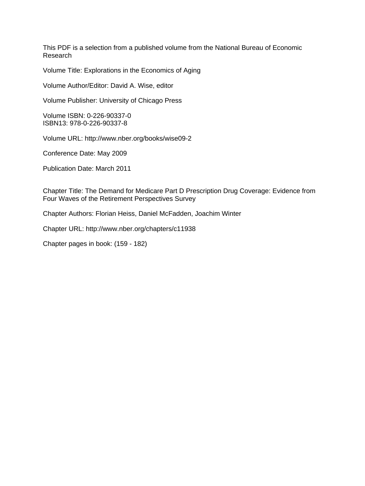This PDF is a selection from a published volume from the National Bureau of Economic Research

Volume Title: Explorations in the Economics of Aging

Volume Author/Editor: David A. Wise, editor

Volume Publisher: University of Chicago Press

Volume ISBN: 0-226-90337-0 ISBN13: 978-0-226-90337-8

Volume URL: http://www.nber.org/books/wise09-2

Conference Date: May 2009

Publication Date: March 2011

Chapter Title: The Demand for Medicare Part D Prescription Drug Coverage: Evidence from Four Waves of the Retirement Perspectives Survey

Chapter Authors: Florian Heiss, Daniel McFadden, Joachim Winter

Chapter URL: http://www.nber.org/chapters/c11938

Chapter pages in book: (159 - 182)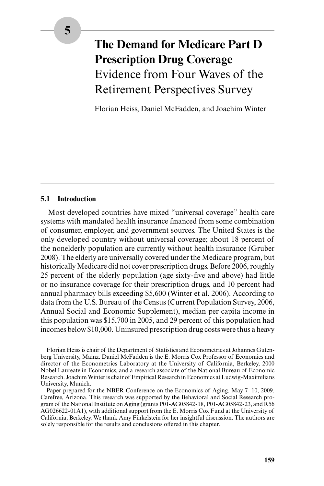# **The Demand for Medicare Part D Prescription Drug Coverage** Evidence from Four Waves of the Retirement Perspectives Survey

Florian Heiss, Daniel McFadden, and Joachim Winter

#### **5.1 Introduction**

Most developed countries have mixed "universal coverage" health care systems with mandated health insurance financed from some combination of consumer, employer, and government sources. The United States is the only developed country without universal coverage; about 18 percent of the nonelderly population are currently without health insurance (Gruber 2008). The elderly are universally covered under the Medicare program, but historically Medicare did not cover prescription drugs. Before 2006, roughly 25 percent of the elderly population (age sixty-five and above) had little or no insurance coverage for their prescription drugs, and 10 percent had annual pharmacy bills exceeding \$5,600 (Winter et al. 2006). According to data from the U.S. Bureau of the Census (Current Population Survey, 2006, Annual Social and Economic Supplement), median per capita income in this population was \$15,700 in 2005, and 29 percent of this population had incomes below \$10,000. Uninsured prescription drug costs were thus a heavy

Florian Heiss is chair of the Department of Statistics and Econometrics at Johannes Gutenberg University, Mainz. Daniel McFadden is the E. Morris Cox Professor of Economics and director of the Econometrics Laboratory at the University of California, Berkeley, 2000 Nobel Laureate in Economics, and a research associate of the National Bureau of Economic Research. Joachim Winter is chair of Empirical Research in Economics at Ludwig- Maximilians University, Munich.

Paper prepared for the NBER Conference on the Economics of Aging, May 7-10, 2009, Carefree, Arizona. This research was supported by the Behavioral and Social Research program of the National Institute on Aging (grants P01-AG05842- 18, P01-AG05842- 23, and R56 AG026622- 01A1), with additional support from the E. Morris Cox Fund at the University of California, Berkeley. We thank Amy Finkelstein for her insightful discussion. The authors are solely responsible for the results and conclusions offered in this chapter.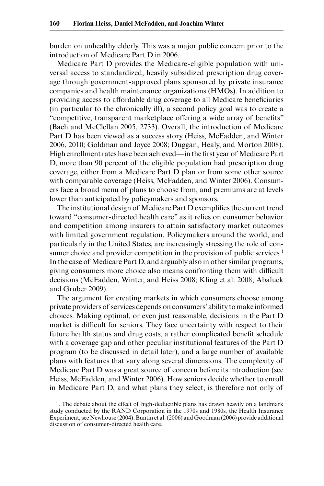burden on unhealthy elderly. This was a major public concern prior to the introduction of Medicare Part D in 2006.

Medicare Part D provides the Medicare- eligible population with universal access to standardized, heavily subsidized prescription drug coverage through government- approved plans sponsored by private insurance companies and health maintenance organizations (HMOs). In addition to providing access to affordable drug coverage to all Medicare beneficiaries (in particular to the chronically ill), a second policy goal was to create a "competitive, transparent marketplace offering a wide array of benefits" (Bach and McClellan 2005, 2733). Overall, the introduction of Medicare Part D has been viewed as a success story (Heiss, McFadden, and Winter 2006, 2010; Goldman and Joyce 2008; Duggan, Healy, and Morton 2008). High enrollment rates have been achieved—in the first year of Medicare Part D, more than 90 percent of the eligible population had prescription drug coverage, either from a Medicare Part D plan or from some other source with comparable coverage (Heiss, McFadden, and Winter 2006). Consumers face a broad menu of plans to choose from, and premiums are at levels lower than anticipated by policymakers and sponsors.

The institutional design of Medicare Part D exemplifies the current trend toward "consumer- directed health care" as it relies on consumer behavior and competition among insurers to attain satisfactory market outcomes with limited government regulation. Policymakers around the world, and particularly in the United States, are increasingly stressing the role of consumer choice and provider competition in the provision of public services.<sup>1</sup> In the case of Medicare Part D, and arguably also in other similar programs, giving consumers more choice also means confronting them with difficult decisions (McFadden, Winter, and Heiss 2008; Kling et al. 2008; Abaluck and Gruber 2009).

The argument for creating markets in which consumers choose among private providers of services depends on consumers' ability to make informed choices. Making optimal, or even just reasonable, decisions in the Part D market is difficult for seniors. They face uncertainty with respect to their future health status and drug costs, a rather complicated benefit schedule with a coverage gap and other peculiar institutional features of the Part D program (to be discussed in detail later), and a large number of available plans with features that vary along several dimensions. The complexity of Medicare Part D was a great source of concern before its introduction (see Heiss, McFadden, and Winter 2006). How seniors decide whether to enroll in Medicare Part D, and what plans they select, is therefore not only of

<sup>1.</sup> The debate about the effect of high- deductible plans has drawn heavily on a landmark study conducted by the RAND Corporation in the 1970s and 1980s, the Health Insurance Experiment; see Newhouse (2004). Buntin et al. (2006) and Goodman (2006) provide additional discussion of consumer- directed health care.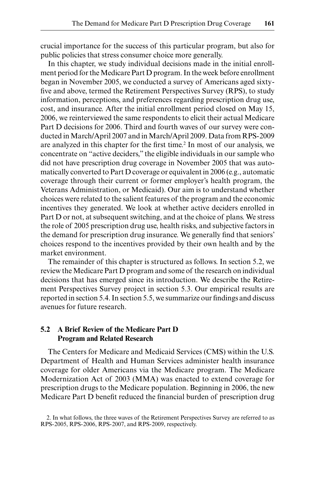crucial importance for the success of this particular program, but also for public policies that stress consumer choice more generally.

In this chapter, we study individual decisions made in the initial enrollment period for the Medicare Part D program. In the week before enrollment began in November 2005, we conducted a survey of Americans aged sixty five and above, termed the Retirement Perspectives Survey (RPS), to study information, perceptions, and preferences regarding prescription drug use, cost, and insurance. After the initial enrollment period closed on May 15, 2006, we reinterviewed the same respondents to elicit their actual Medicare Part D decisions for 2006. Third and fourth waves of our survey were conducted in March/April 2007 and in March/April 2009. Data from RPS- 2009 are analyzed in this chapter for the first time.<sup>2</sup> In most of our analysis, we concentrate on "active deciders," the eligible individuals in our sample who did not have prescription drug coverage in November 2005 that was automatically converted to Part D coverage or equivalent in 2006 (e.g., automatic coverage through their current or former employer's health program, the Veterans Administration, or Medicaid). Our aim is to understand whether choices were related to the salient features of the program and the economic incentives they generated. We look at whether active deciders enrolled in Part D or not, at subsequent switching, and at the choice of plans. We stress the role of 2005 prescription drug use, health risks, and subjective factors in the demand for prescription drug insurance. We generally find that seniors' choices respond to the incentives provided by their own health and by the market environment.

The remainder of this chapter is structured as follows. In section 5.2, we review the Medicare Part D program and some of the research on individual decisions that has emerged since its introduction. We describe the Retirement Perspectives Survey project in section 5.3. Our empirical results are reported in section 5.4. In section 5.5, we summarize our findings and discuss avenues for future research.

## **5.2 A Brief Review of the Medicare Part D Program and Related Research**

The Centers for Medicare and Medicaid Services (CMS) within the U.S. Department of Health and Human Services administer health insurance coverage for older Americans via the Medicare program. The Medicare Modernization Act of 2003 (MMA) was enacted to extend coverage for prescription drugs to the Medicare population. Beginning in 2006, the new Medicare Part D benefit reduced the financial burden of prescription drug

<sup>2.</sup> In what follows, the three waves of the Retirement Perspectives Survey are referred to as RPS- 2005, RPS- 2006, RPS- 2007, and RPS- 2009, respectively.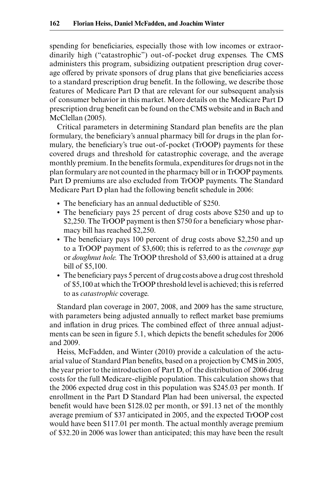spending for beneficiaries, especially those with low incomes or extraordinarily high ("catastrophic") out- of- pocket drug expenses. The CMS administers this program, subsidizing outpatient prescription drug coverage offered by private sponsors of drug plans that give beneficiaries access to a standard prescription drug benefit. In the following, we describe those features of Medicare Part D that are relevant for our subsequent analysis of consumer behavior in this market. More details on the Medicare Part D prescription drug benefit can be found on the CMS website and in Bach and McClellan (2005).

Critical parameters in determining Standard plan benefits are the plan formulary, the beneficiary's annual pharmacy bill for drugs in the plan formulary, the beneficiary's true out-of-pocket (TrOOP) payments for these covered drugs and threshold for catastrophic coverage, and the average monthly premium. In the benefits formula, expenditures for drugs not in the plan formulary are not counted in the pharmacy bill or in TrOOP payments. Part D premiums are also excluded from TrOOP payments. The Standard Medicare Part D plan had the following benefit schedule in 2006:

- The beneficiary has an annual deductible of \$250.
- The beneficiary pays 25 percent of drug costs above \$250 and up to \$2,250. The TrOOP payment is then \$750 for a beneficiary whose pharmacy bill has reached \$2,250.
- The beneficiary pays 100 percent of drug costs above \$2,250 and up to a TrOOP payment of \$3,600; this is referred to as the *coverage gap* or *doughnut hole.* The TrOOP threshold of \$3,600 is attained at a drug bill of \$5,100.
- The beneficiary pays 5 percent of drug costs above a drug cost threshold of \$5,100 at which the TrOOP threshold level is achieved; this is referred to as *catastrophic* coverage.

Standard plan coverage in 2007, 2008, and 2009 has the same structure, with parameters being adjusted annually to reflect market base premiums and inflation in drug prices. The combined effect of three annual adjustments can be seen in figure 5.1, which depicts the benefit schedules for 2006 and 2009.

Heiss, McFadden, and Winter (2010) provide a calculation of the actuarial value of Standard Plan benefits, based on a projection by CMS in 2005, the year prior to the introduction of Part D, of the distribution of 2006 drug costs for the full Medicare- eligible population. This calculation shows that the 2006 expected drug cost in this population was \$245.03 per month. If enrollment in the Part D Standard Plan had been universal, the expected benefit would have been \$128.02 per month, or \$91.13 net of the monthly average premium of \$37 anticipated in 2005, and the expected TrOOP cost would have been \$117.01 per month. The actual monthly average premium of \$32.20 in 2006 was lower than anticipated; this may have been the result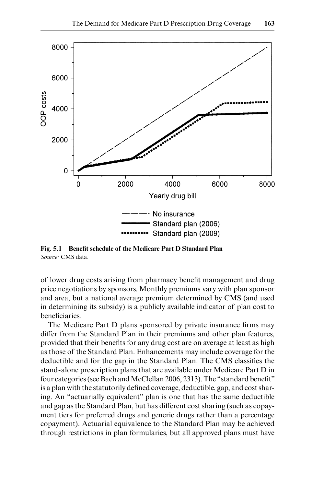

Fig. 5.1 Benefit schedule of the Medicare Part D Standard Plan *Source:* CMS data.

of lower drug costs arising from pharmacy benefit management and drug price negotiations by sponsors. Monthly premiums vary with plan sponsor and area, but a national average premium determined by CMS (and used in determining its subsidy) is a publicly available indicator of plan cost to beneficiaries.

The Medicare Part D plans sponsored by private insurance firms may differ from the Standard Plan in their premiums and other plan features, provided that their benefits for any drug cost are on average at least as high as those of the Standard Plan. Enhancements may include coverage for the deductible and for the gap in the Standard Plan. The CMS classifies the stand- alone prescription plans that are available under Medicare Part D in four categories (see Bach and McClellan 2006, 2313). The "standard benefit" is a plan with the statutorily defined coverage, deductible, gap, and cost sharing. An "actuarially equivalent" plan is one that has the same deductible and gap as the Standard Plan, but has different cost sharing (such as copayment tiers for preferred drugs and generic drugs rather than a percentage copayment). Actuarial equivalence to the Standard Plan may be achieved through restrictions in plan formularies, but all approved plans must have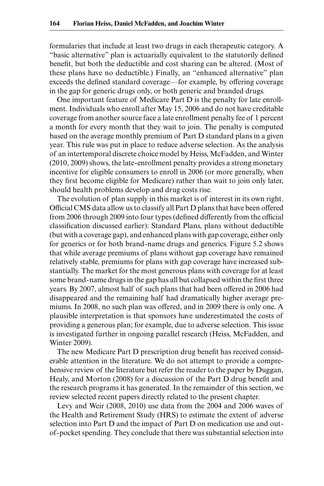formularies that include at least two drugs in each therapeutic category. A "basic alternative" plan is actuarially equivalent to the statutorily defined benefit, but both the deductible and cost sharing can be altered. (Most of these plans have no deductible.) Finally, an "enhanced alternative" plan exceeds the defined standard coverage—for example, by offering coverage in the gap for generic drugs only, or both generic and branded drugs.

One important feature of Medicare Part D is the penalty for late enrollment. Individuals who enroll after May 15, 2006 and do not have creditable coverage from another source face a late enrollment penalty fee of 1 percent a month for every month that they wait to join. The penalty is computed based on the average monthly premium of Part D standard plans in a given year. This rule was put in place to reduce adverse selection. As the analysis of an intertemporal discrete choice model by Heiss, McFadden, and Winter (2010, 2009) shows, the late- enrollment penalty provides a strong monetary incentive for eligible consumers to enroll in 2006 (or more generally, when they first become eligible for Medicare) rather than wait to join only later, should health problems develop and drug costs rise.

The evolution of plan supply in this market is of interest in its own right. Official CMS data allow us to classify all Part D plans that have been offered from 2006 through 2009 into four types (defined differently from the official classification discussed earlier): Standard Plans, plans without deductible (but with a coverage gap), and enhanced plans with gap coverage, either only for generics or for both brand- name drugs and generics. Figure 5.2 shows that while average premiums of plans without gap coverage have remained relatively stable, premiums for plans with gap coverage have increased substantially. The market for the most generous plans with coverage for at least some brand-name drugs in the gap has all but collapsed within the first three years. By 2007, almost half of such plans that had been offered in 2006 had disappeared and the remaining half had dramatically higher average premiums. In 2008, no such plan was offered, and in 2009 there is only one. A plausible interpretation is that sponsors have underestimated the costs of providing a generous plan; for example, due to adverse selection. This issue is investigated further in ongoing parallel research (Heiss, McFadden, and Winter 2009).

The new Medicare Part D prescription drug benefit has received considerable attention in the literature. We do not attempt to provide a comprehensive review of the literature but refer the reader to the paper by Duggan, Healy, and Morton (2008) for a discussion of the Part D drug benefit and the research programs it has generated. In the remainder of this section, we review selected recent papers directly related to the present chapter.

Levy and Weir (2008, 2010) use data from the 2004 and 2006 waves of the Health and Retirement Study (HRS) to estimate the extent of adverse selection into Part D and the impact of Part D on medication use and out of- pocket spending. They conclude that there was substantial selection into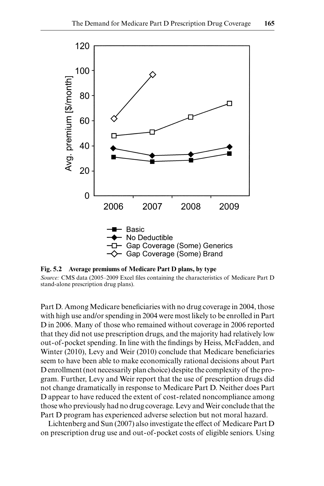

**Fig. 5.2 Average premiums of Medicare Part D plans, by type** *Source:* CMS data (2005–2009 Excel files containing the characteristics of Medicare Part D stand- alone prescription drug plans).

Part D. Among Medicare beneficiaries with no drug coverage in 2004, those with high use and/or spending in 2004 were most likely to be enrolled in Part D in 2006. Many of those who remained without coverage in 2006 reported that they did not use prescription drugs, and the majority had relatively low out- of-pocket spending. In line with the findings by Heiss, McFadden, and Winter (2010), Levy and Weir (2010) conclude that Medicare beneficiaries seem to have been able to make economically rational decisions about Part D enrollment (not necessarily plan choice) despite the complexity of the program. Further, Levy and Weir report that the use of prescription drugs did not change dramatically in response to Medicare Part D. Neither does Part D appear to have reduced the extent of cost- related noncompliance among those who previously had no drug coverage. Levy and Weir conclude that the Part D program has experienced adverse selection but not moral hazard.

Lichtenberg and Sun (2007) also investigate the effect of Medicare Part D on prescription drug use and out-of-pocket costs of eligible seniors. Using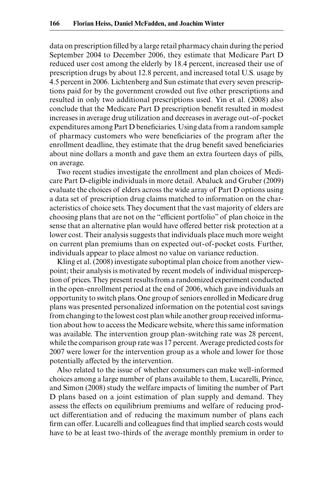data on prescription filled by a large retail pharmacy chain during the period September 2004 to December 2006, they estimate that Medicare Part D reduced user cost among the elderly by 18.4 percent, increased their use of prescription drugs by about 12.8 percent, and increased total U.S. usage by 4.5 percent in 2006. Lichtenberg and Sun estimate that every seven prescriptions paid for by the government crowded out five other prescriptions and resulted in only two additional prescriptions used. Yin et al. (2008) also conclude that the Medicare Part D prescription benefit resulted in modest increases in average drug utilization and decreases in average out- of- pocket expenditures among Part D beneficiaries. Using data from a random sample of pharmacy customers who were beneficiaries of the program after the enrollment deadline, they estimate that the drug benefit saved beneficiaries about nine dollars a month and gave them an extra fourteen days of pills, on average.

Two recent studies investigate the enrollment and plan choices of Medicare Part D- eligible individuals in more detail. Abaluck and Gruber (2009) evaluate the choices of elders across the wide array of Part D options using a data set of prescription drug claims matched to information on the characteristics of choice sets. They document that the vast majority of elders are choosing plans that are not on the "efficient portfolio" of plan choice in the sense that an alternative plan would have offered better risk protection at a lower cost. Their analysis suggests that individuals place much more weight on current plan premiums than on expected out- of- pocket costs. Further, individuals appear to place almost no value on variance reduction.

Kling et al. (2008) investigate suboptimal plan choice from another viewpoint; their analysis is motivated by recent models of individual misperception of prices. They present results from a randomized experiment conducted in the open- enrollment period at the end of 2006, which gave individuals an opportunity to switch plans. One group of seniors enrolled in Medicare drug plans was presented personalized information on the potential cost savings from changing to the lowest cost plan while another group received information about how to access the Medicare website, where this same information was available. The intervention group plan- switching rate was 28 percent, while the comparison group rate was 17 percent. Average predicted costs for 2007 were lower for the intervention group as a whole and lower for those potentially affected by the intervention.

Also related to the issue of whether consumers can make well- informed choices among a large number of plans available to them, Lucarelli, Prince, and Simon (2008) study the welfare impacts of limiting the number of Part D plans based on a joint estimation of plan supply and demand. They assess the effects on equilibrium premiums and welfare of reducing product differentiation and of reducing the maximum number of plans each firm can offer. Lucarelli and colleagues find that implied search costs would have to be at least two- thirds of the average monthly premium in order to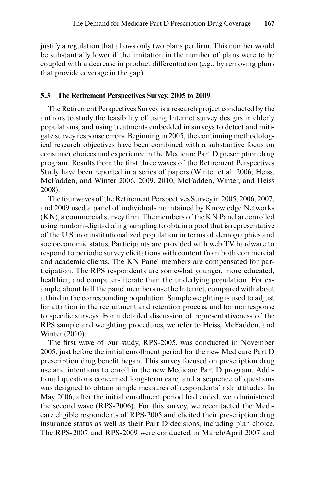justify a regulation that allows only two plans per firm. This number would be substantially lower if the limitation in the number of plans were to be coupled with a decrease in product differentiation (e.g., by removing plans that provide coverage in the gap).

### **5.3 The Retirement Perspectives Survey, 2005 to 2009**

The Retirement Perspectives Survey is a research project conducted by the authors to study the feasibility of using Internet survey designs in elderly populations, and using treatments embedded in surveys to detect and mitigate survey response errors. Beginning in 2005, the continuing methodological research objectives have been combined with a substantive focus on consumer choices and experience in the Medicare Part D prescription drug program. Results from the first three waves of the Retirement Perspectives Study have been reported in a series of papers (Winter et al. 2006; Heiss, McFadden, and Winter 2006, 2009, 2010, McFadden, Winter, and Heiss 2008).

The four waves of the Retirement Perspectives Survey in 2005, 2006, 2007, and 2009 used a panel of individuals maintained by Knowledge Networks  $(KN)$ , a commercial survey firm. The members of the  $KN$  Panel are enrolled using random- digit- dialing sampling to obtain a pool that is representative of the U.S. noninstitutionalized population in terms of demographics and socioeconomic status. Participants are provided with web TV hardware to respond to periodic survey elicitations with content from both commercial and academic clients. The KN Panel members are compensated for participation. The RPS respondents are somewhat younger, more educated, healthier, and computer-literate than the underlying population. For example, about half the panel members use the Internet, compared with about a third in the corresponding population. Sample weighting is used to adjust for attrition in the recruitment and retention process, and for nonresponse to specific surveys. For a detailed discussion of representativeness of the RPS sample and weighting procedures, we refer to Heiss, McFadden, and Winter (2010).

The first wave of our study, RPS-2005, was conducted in November 2005, just before the initial enrollment period for the new Medicare Part D prescription drug benefit began. This survey focused on prescription drug use and intentions to enroll in the new Medicare Part D program. Additional questions concerned long- term care, and a sequence of questions was designed to obtain simple measures of respondents' risk attitudes. In May 2006, after the initial enrollment period had ended, we administered the second wave (RPS-2006). For this survey, we recontacted the Medicare eligible respondents of RPS- 2005 and elicited their prescription drug insurance status as well as their Part D decisions, including plan choice. The RPS-2007 and RPS-2009 were conducted in March/April 2007 and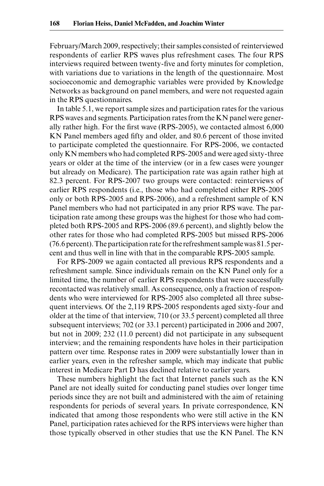February/March 2009, respectively; their samples consisted of reinterviewed respondents of earlier RPS waves plus refreshment cases. The four RPS interviews required between twenty-five and forty minutes for completion, with variations due to variations in the length of the questionnaire. Most socioeconomic and demographic variables were provided by Knowledge Networks as background on panel members, and were not requested again in the RPS questionnaires.

In table 5.1, we report sample sizes and participation rates for the various RPS waves and segments. Participation rates from the KN panel were generally rather high. For the first wave  $(RPS-2005)$ , we contacted almost  $6,000$ KN Panel members aged fifty and older, and 80.6 percent of those invited to participate completed the questionnaire. For RPS- 2006, we contacted only KN members who had completed RPS- 2005 and were aged sixty- three years or older at the time of the interview (or in a few cases were younger but already on Medicare). The participation rate was again rather high at 82.3 percent. For RPS-2007 two groups were contacted: reinterviews of earlier RPS respondents (i.e., those who had completed either RPS-2005 only or both RPS-2005 and RPS-2006), and a refreshment sample of KN Panel members who had not participated in any prior RPS wave. The participation rate among these groups was the highest for those who had completed both RPS- 2005 and RPS- 2006 (89.6 percent), and slightly below the other rates for those who had completed RPS- 2005 but missed RPS- 2006 (76.6 percent). The participation rate for the refreshment sample was 81.5 percent and thus well in line with that in the comparable RPS- 2005 sample.

For RPS- 2009 we again contacted all previous RPS respondents and a refreshment sample. Since individuals remain on the KN Panel only for a limited time, the number of earlier RPS respondents that were successfully recontacted was relatively small. As consequence, only a fraction of respondents who were interviewed for RPS- 2005 also completed all three subsequent interviews. Of the 2,119 RPS-2005 respondents aged sixty-four and older at the time of that interview, 710 (or 33.5 percent) completed all three subsequent interviews; 702 (or 33.1 percent) participated in 2006 and 2007, but not in 2009; 232 (11.0 percent) did not participate in any subsequent interview; and the remaining respondents have holes in their participation pattern over time. Response rates in 2009 were substantially lower than in earlier years, even in the refresher sample, which may indicate that public interest in Medicare Part D has declined relative to earlier years.

These numbers highlight the fact that Internet panels such as the KN Panel are not ideally suited for conducting panel studies over longer time periods since they are not built and administered with the aim of retaining respondents for periods of several years. In private correspondence, KN indicated that among those respondents who were still active in the KN Panel, participation rates achieved for the RPS interviews were higher than those typically observed in other studies that use the KN Panel. The KN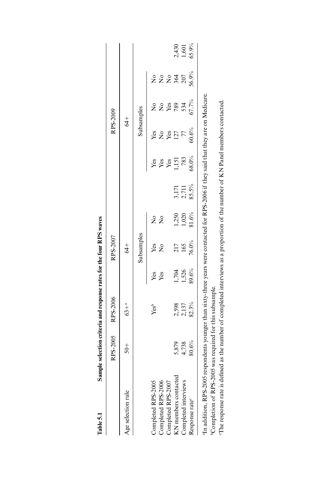| Table 5.1                                                                                                                                                                                                    | Sample selection criteria and response rates for the four RPS waves |                |       |             |                      |                |       |               |                     |               |                         |
|--------------------------------------------------------------------------------------------------------------------------------------------------------------------------------------------------------------|---------------------------------------------------------------------|----------------|-------|-------------|----------------------|----------------|-------|---------------|---------------------|---------------|-------------------------|
|                                                                                                                                                                                                              | RPS-2005                                                            | RPS-2006       |       | RPS-2007    |                      |                |       |               | RPS-2009            |               |                         |
| Age selection rule                                                                                                                                                                                           | $+05$                                                               | $63 + ^{a}$    |       | $64+$       |                      |                |       |               | $\frac{4}{4}$       |               |                         |
|                                                                                                                                                                                                              |                                                                     |                |       | Subsamples  |                      |                |       |               | Subsamples          |               |                         |
| Completed RPS-2005                                                                                                                                                                                           |                                                                     | Yesb           | Yes   | Yes         | $\tilde{\mathsf{z}}$ |                | Yes   | Yes           | ż                   | $\frac{1}{2}$ |                         |
| Completed RPS-2006                                                                                                                                                                                           |                                                                     |                | Yes   | $\tilde{z}$ | $\frac{1}{2}$        |                | Yes   | $\frac{1}{2}$ | $\grave{\varkappa}$ | Ş             |                         |
| Completed RPS-2007                                                                                                                                                                                           |                                                                     |                |       |             |                      |                | Yes   | Yes           | Yes                 | $\frac{1}{2}$ |                         |
| KN members contacted                                                                                                                                                                                         |                                                                     |                | 1,704 | 217         | 1,250                | 3,171          | ,151  | 127           | 789                 | 364           |                         |
| Completed interviews                                                                                                                                                                                         | 5,879<br>4,738                                                      | 2,598<br>2,137 | 1,526 | 165         | 1,020                | 2,711<br>85.5% | 783   | 77            | 534                 | 207           | 2,430<br>1,601<br>65.9% |
| Response rate®                                                                                                                                                                                               | 80.6%                                                               | 82.3%          | 89.6% | 76.0%       | 81.6%                |                | 68.0% | 60.6%         | 67.7%               | 56.9%         |                         |
| In addition, RPS-2005 respondents younger than sixty-three years were contacted for RPS-2006 if they said that they are on Medicare.<br><sup>b</sup> Completion of RPS-2005 was required for this subsample. |                                                                     |                |       |             |                      |                |       |               |                     |               |                         |
| The response rate is defined as the number of completed interviews as a proportion of the number of KN Panel members contacted                                                                               |                                                                     |                |       |             |                      |                |       |               |                     |               |                         |

| ミスコン<br>$\frac{1}{2}$ |
|-----------------------|
|                       |
|                       |
|                       |
|                       |
| C CHAP WORK CHAPT     |
|                       |
|                       |
|                       |
|                       |
|                       |
|                       |
|                       |
|                       |
| ;<br>;                |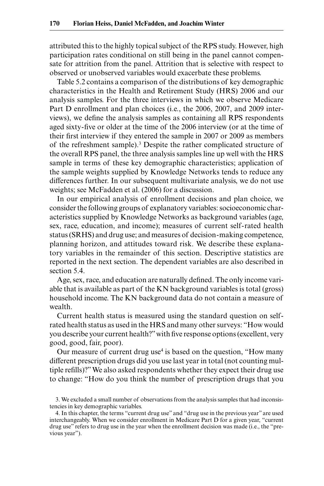attributed this to the highly topical subject of the RPS study. However, high participation rates conditional on still being in the panel cannot compensate for attrition from the panel. Attrition that is selective with respect to observed or unobserved variables would exacerbate these problems.

Table 5.2 contains a comparison of the distributions of key demographic characteristics in the Health and Retirement Study (HRS) 2006 and our analysis samples. For the three interviews in which we observe Medicare Part D enrollment and plan choices (i.e., the 2006, 2007, and 2009 interviews), we define the analysis samples as containing all RPS respondents aged sixty-five or older at the time of the 2006 interview (or at the time of their first interview if they entered the sample in 2007 or 2009 as members of the refreshment sample).<sup>3</sup> Despite the rather complicated structure of the overall RPS panel, the three analysis samples line up well with the HRS sample in terms of these key demographic characteristics; application of the sample weights supplied by Knowledge Networks tends to reduce any differences further. In our subsequent multivariate analysis, we do not use weights; see McFadden et al. (2006) for a discussion.

In our empirical analysis of enrollment decisions and plan choice, we consider the following groups of explanatory variables: socioeconomic characteristics supplied by Knowledge Networks as background variables (age, sex, race, education, and income); measures of current self-rated health status (SRHS) and drug use; and measures of decision- making competence, planning horizon, and attitudes toward risk. We describe these explanatory variables in the remainder of this section. Descriptive statistics are reported in the next section. The dependent variables are also described in section 5.4.

Age, sex, race, and education are naturally defined. The only income variable that is available as part of the KN background variables is total (gross) household income. The KN background data do not contain a measure of wealth.

Current health status is measured using the standard question on self rated health status as used in the HRS and many other surveys: "How would you describe your current health?" with five response options (excellent, very good, good, fair, poor).

Our measure of current drug use<sup>4</sup> is based on the question, "How many different prescription drugs did you use last year in total (not counting multiple refills)?" We also asked respondents whether they expect their drug use to change: "How do you think the number of prescription drugs that you

<sup>3.</sup> We excluded a small number of observations from the analysis samples that had inconsistencies in key demographic variables.

<sup>4.</sup> In this chapter, the terms "current drug use" and "drug use in the previous year" are used interchangeably. When we consider enrollment in Medicare Part D for a given year, "current drug use" refers to drug use in the year when the enrollment decision was made (i.e., the "previous year").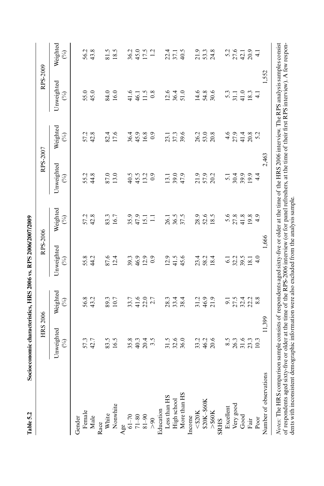| Table 5.2                                                                                                                                     | Socioeconomic characteristics, HRS 2006 vs. RPS 2006/2007/2009                                                                                                                                                                           |                       |                      |                       |                   |                 |                                 |                     |
|-----------------------------------------------------------------------------------------------------------------------------------------------|------------------------------------------------------------------------------------------------------------------------------------------------------------------------------------------------------------------------------------------|-----------------------|----------------------|-----------------------|-------------------|-----------------|---------------------------------|---------------------|
|                                                                                                                                               | <b>HRS2006</b>                                                                                                                                                                                                                           |                       | RPS-2006             |                       | RPS-2007          |                 | RPS-2009                        |                     |
|                                                                                                                                               | Unweighted<br>(°)                                                                                                                                                                                                                        | Weighted<br>$($ % $)$ | Unweighted<br>$(\%)$ | Weighted<br>$($ % $)$ | Unweighted<br>(%) | Weighted<br>(9) | Unweighted<br>(° <sub>0</sub> ) | Weighted<br>(%)     |
| Gender                                                                                                                                        |                                                                                                                                                                                                                                          |                       |                      |                       |                   |                 |                                 |                     |
| Female                                                                                                                                        | 57.3                                                                                                                                                                                                                                     | 56.8                  | 55.8                 | 57.2                  | 55.2              | 57.2            | 55.0                            | 56.2                |
| Male                                                                                                                                          | 42.7                                                                                                                                                                                                                                     | 43.2                  | 44.2                 | 42.8                  | 44.8              | 42.8            | 45.0                            | 43.8                |
| Race                                                                                                                                          |                                                                                                                                                                                                                                          |                       |                      |                       |                   |                 |                                 |                     |
|                                                                                                                                               | 83.5                                                                                                                                                                                                                                     | 89.3                  | 87.6                 | 83.3                  | 87.0              | 82.4            | 84.0                            | 81.5                |
| White<br>Nonwhite                                                                                                                             | 16.5                                                                                                                                                                                                                                     | 10.7                  | 12.4                 | 16.7                  | 13.0              | 17.6            | 16.0                            | 18.5                |
|                                                                                                                                               |                                                                                                                                                                                                                                          |                       |                      |                       |                   |                 |                                 |                     |
|                                                                                                                                               | 35.8                                                                                                                                                                                                                                     | 33.7                  | 39.3                 | 35.9                  | 40.5              | 36.4            | 41.6                            | 36.2                |
|                                                                                                                                               | 40.3                                                                                                                                                                                                                                     |                       | 46.9                 | 47.9                  | 45.5              | 45.9            | 46.1                            | 45.0                |
|                                                                                                                                               | 20.4                                                                                                                                                                                                                                     | $41.6$<br>22.0        | 12.9                 | 15.1                  | 13.2              | 16.8            | 11.5                            | 17.5                |
|                                                                                                                                               | 3.5                                                                                                                                                                                                                                      | 2.7                   | 0.9                  | $\Xi$                 | 0.9               | 0.9             | 0.8                             | 1.2                 |
|                                                                                                                                               |                                                                                                                                                                                                                                          |                       |                      |                       |                   |                 |                                 |                     |
|                                                                                                                                               | 31.5                                                                                                                                                                                                                                     | 28.3                  | 12.9                 | 26.1                  | 13.1              | 23.1            | 12.6                            |                     |
|                                                                                                                                               | 32.6                                                                                                                                                                                                                                     |                       | 41.5                 |                       | 39.0              | 37.3            |                                 | $\frac{22.4}{37.1}$ |
| Age<br>$\frac{61-70}{71-80}$<br>$\frac{71-80}{81-90}$<br>$\geq 90$<br>Education<br>Ligh school<br>High school<br>More than HS<br>More than HS | 36.0                                                                                                                                                                                                                                     | $33.4$<br>$38.4$      | 45.6                 | 36.5<br>37.5          | 47.9              | 39.6            | $36.4$<br>51.0                  | 40.5                |
|                                                                                                                                               |                                                                                                                                                                                                                                          |                       |                      |                       |                   |                 |                                 |                     |
|                                                                                                                                               | 33.2                                                                                                                                                                                                                                     | 31.2                  | 23.4                 | 28.9                  | 21.9              | 26.2            | 14.6                            | 21.9                |
| $\begin{array}{c} \text{Income} \\ <\!>$20\mathrm{K}$ \\ \$20\mathrm{K}$$-\$60\mathrm{K}$ \end{array}$                                        | 46.2                                                                                                                                                                                                                                     | 46.9                  | 58.2                 | 52.6                  | 57.9<br>20.2      | 53.0            | 54.8                            | 53.3                |
|                                                                                                                                               | 20.6                                                                                                                                                                                                                                     | 21.9                  | 18.4                 | 18.5                  |                   | 20.8            | 30.6                            | 24.8                |
|                                                                                                                                               |                                                                                                                                                                                                                                          |                       |                      |                       |                   |                 |                                 |                     |
|                                                                                                                                               | 8.5                                                                                                                                                                                                                                      | 9.1                   | $\overline{61}$      | 5.6                   | 5.1               | 4.6             | 5.3                             | 5.2                 |
|                                                                                                                                               | 26.3                                                                                                                                                                                                                                     | 27.5                  | 32.2                 | 27.8                  |                   | 27.9            | 31.1                            | 27.6<br>42.1        |
|                                                                                                                                               | 31.6                                                                                                                                                                                                                                     | 32.4<br>22.2          | 39.5                 | 41.8                  | 30.4<br>39.9      | 41.4            | 41.0                            |                     |
|                                                                                                                                               | 23.3                                                                                                                                                                                                                                     |                       | 18.1                 | 19.8                  | 19.9              | 20.8            | 18.3                            | 20.9                |
| Poor                                                                                                                                          | 10.3                                                                                                                                                                                                                                     | 8.8                   | $\frac{0}{4}$        | 4.9                   | $4\overline{4}$   | 5.2             | $\frac{1}{4}$                   | $\overline{4.1}$    |
| Number of observation                                                                                                                         | 11,399<br>$\mathbf{a}$                                                                                                                                                                                                                   |                       | 1,666                |                       | 2,463             |                 | 1,552                           |                     |
|                                                                                                                                               | Notes: The HRS comparison sample consists of respondents aged sixty-five or older at the time of the HRS 2006 interview. The RPS analysis samples consist                                                                                |                       |                      |                       |                   |                 |                                 |                     |
| dents with inconsistent                                                                                                                       | of respondents aged sixty-five or older at the time of the RPS-2006 interview (or for panel refreshers, at the time of their first RPS interview). A few respon-<br>demographic information were also excluded from the analysis sample. |                       |                      |                       |                   |                 |                                 |                     |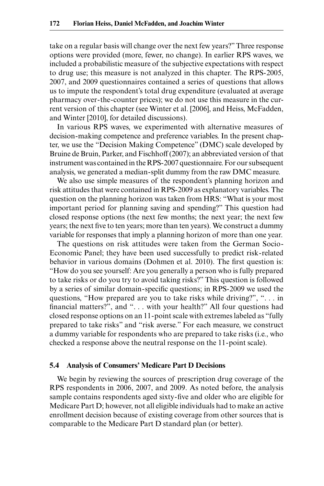take on a regular basis will change over the next few years?" Three response options were provided (more, fewer, no change). In earlier RPS waves, we included a probabilistic measure of the subjective expectations with respect to drug use; this measure is not analyzed in this chapter. The RPS- 2005, 2007, and 2009 questionnaires contained a series of questions that allows us to impute the respondent's total drug expenditure (evaluated at average pharmacy over- the- counter prices); we do not use this measure in the current version of this chapter (see Winter et al. [2006], and Heiss, McFadden, and Winter [2010], for detailed discussions).

In various RPS waves, we experimented with alternative measures of decision- making competence and preference variables. In the present chapter, we use the "Decision Making Competence" (DMC) scale developed by Bruine de Bruin, Parker, and Fischhoff (2007); an abbreviated version of that instrument was contained in the RPS- 2007 questionnaire. For our subsequent analysis, we generated a median- split dummy from the raw DMC measure.

We also use simple measures of the respondent's planning horizon and risk attitudes that were contained in RPS- 2009 as explanatory variables. The question on the planning horizon was taken from HRS: "What is your most important period for planning saving and spending?" This question had closed response options (the next few months; the next year; the next few years; the next five to ten years; more than ten years). We construct a dummy variable for responses that imply a planning horizon of more than one year.

The questions on risk attitudes were taken from the German Socio- Economic Panel; they have been used successfully to predict risk- related behavior in various domains (Dohmen et al. 2010). The first question is: "How do you see yourself: Are you generally a person who is fully prepared to take risks or do you try to avoid taking risks?" This question is followed by a series of similar domain-specific questions; in RPS-2009 we used the questions, "How prepared are you to take risks while driving?", ". . . in financial matters?", and "... with your health?" All four questions had closed response options on an 11- point scale with extremes labeled as "fully prepared to take risks" and "risk averse." For each measure, we construct a dummy variable for respondents who are prepared to take risks (i.e., who checked a response above the neutral response on the 11- point scale).

#### **5.4 Analysis of Consumers' Medicare Part D Decisions**

We begin by reviewing the sources of prescription drug coverage of the RPS respondents in 2006, 2007, and 2009. As noted before, the analysis sample contains respondents aged sixty-five and older who are eligible for Medicare Part D; however, not all eligible individuals had to make an active enrollment decision because of existing coverage from other sources that is comparable to the Medicare Part D standard plan (or better).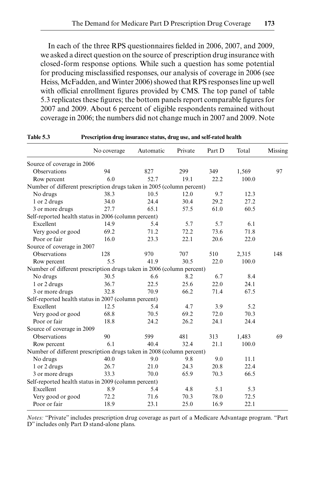In each of the three RPS questionnaires fielded in 2006, 2007, and 2009, we asked a direct question on the source of prescription drug insurance with closed- form response options. While such a question has some potential for producing misclassified responses, our analysis of coverage in 2006 (see Heiss, McFadden, and Winter 2006) showed that RPS responses line up well with official enrollment figures provided by CMS. The top panel of table 5.3 replicates these figures; the bottom panels report comparable figures for 2007 and 2009. About 6 percent of eligible respondents remained without coverage in 2006; the numbers did not change much in 2007 and 2009. Note

|                                                                       | No coverage | Automatic | Private | Part D | Total | Missing |
|-----------------------------------------------------------------------|-------------|-----------|---------|--------|-------|---------|
| Source of coverage in 2006                                            |             |           |         |        |       |         |
| Observations                                                          | 94          | 827       | 299     | 349    | 1,569 | 97      |
| Row percent                                                           | 6.0         | 52.7      | 19.1    | 22.2   | 100.0 |         |
| Number of different prescription drugs taken in 2005 (column percent) |             |           |         |        |       |         |
| No drugs                                                              | 38.3        | 10.5      | 12.0    | 9.7    | 12.3  |         |
| 1 or 2 drugs                                                          | 34.0        | 24.4      | 30.4    | 29.2   | 27.2  |         |
| 3 or more drugs                                                       | 27.7        | 65.1      | 57.5    | 61.0   | 60.5  |         |
| Self-reported health status in 2006 (column percent)                  |             |           |         |        |       |         |
| Excellent                                                             | 14.9        | 5.4       | 5.7     | 5.7    | 6.1   |         |
| Very good or good                                                     | 69.2        | 71.2      | 72.2    | 73.6   | 71.8  |         |
| Poor or fair                                                          | 16.0        | 23.3      | 22.1    | 20.6   | 22.0  |         |
| Source of coverage in 2007                                            |             |           |         |        |       |         |
| Observations                                                          | 128         | 970       | 707     | 510    | 2,315 | 148     |
| Row percent                                                           | 5.5         | 41.9      | 30.5    | 22.0   | 100.0 |         |
| Number of different prescription drugs taken in 2006 (column percent) |             |           |         |        |       |         |
| No drugs                                                              | 30.5        | 6.6       | 8.2     | 6.7    | 8.4   |         |
| 1 or 2 drugs                                                          | 36.7        | 22.5      | 25.6    | 22.0   | 24.1  |         |
| 3 or more drugs                                                       | 32.8        | 70.9      | 66.2    | 71.4   | 67.5  |         |
| Self-reported health status in 2007 (column percent)                  |             |           |         |        |       |         |
| Excellent                                                             | 12.5        | 5.4       | 4.7     | 3.9    | 5.2   |         |
| Very good or good                                                     | 68.8        | 70.5      | 69.2    | 72.0   | 70.3  |         |
| Poor or fair                                                          | 18.8        | 24.2      | 26.2    | 24.1   | 24.4  |         |
| Source of coverage in 2009                                            |             |           |         |        |       |         |
| Observations                                                          | 90          | 599       | 481     | 313    | 1,483 | 69      |
| Row percent                                                           | 6.1         | 40.4      | 32.4    | 21.1   | 100.0 |         |
| Number of different prescription drugs taken in 2008 (column percent) |             |           |         |        |       |         |
| No drugs                                                              | 40.0        | 9.0       | 9.8     | 9.0    | 11.1  |         |
| 1 or 2 drugs                                                          | 26.7        | 21.0      | 24.3    | 20.8   | 22.4  |         |
| 3 or more drugs                                                       | 33.3        | 70.0      | 65.9    | 70.3   | 66.5  |         |
| Self-reported health status in 2009 (column percent)                  |             |           |         |        |       |         |
| Excellent                                                             | 8.9         | 5.4       | 4.8     | 5.1    | 5.3   |         |
| Very good or good                                                     | 72.2        | 71.6      | 70.3    | 78.0   | 72.5  |         |
| Poor or fair                                                          | 18.9        | 23.1      | 25.0    | 16.9   | 22.1  |         |

**Table 5.3 Prescription drug insurance status, drug use, and self- rated health**

*Notes:* "Private" includes prescription drug coverage as part of a Medicare Advantage program. "Part D" includes only Part D stand-alone plans.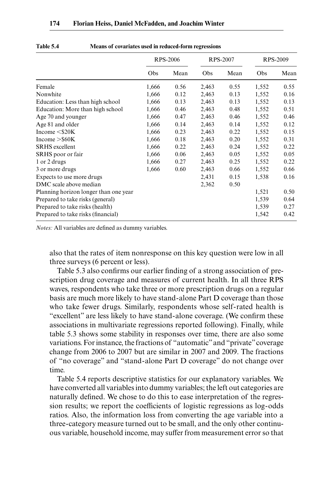| 174 |  | Florian Heiss, Daniel McFadden, and Joachim Winter |  |  |
|-----|--|----------------------------------------------------|--|--|
|-----|--|----------------------------------------------------|--|--|

|                                       |       | <b>RPS-2006</b> |       | <b>RPS-2007</b> |       | <b>RPS-2009</b> |
|---------------------------------------|-------|-----------------|-------|-----------------|-------|-----------------|
|                                       | Obs   | Mean            | Obs   | Mean            | Obs   | Mean            |
| Female                                | 1,666 | 0.56            | 2,463 | 0.55            | 1,552 | 0.55            |
| Nonwhite                              | 1,666 | 0.12            | 2,463 | 0.13            | 1,552 | 0.16            |
| Education: Less than high school      | 1,666 | 0.13            | 2,463 | 0.13            | 1,552 | 0.13            |
| Education: More than high school      | 1,666 | 0.46            | 2,463 | 0.48            | 1,552 | 0.51            |
| Age 70 and younger                    | 1,666 | 0.47            | 2,463 | 0.46            | 1,552 | 0.46            |
| Age 81 and older                      | 1,666 | 0.14            | 2,463 | 0.14            | 1,552 | 0.12            |
| Income $<$ \$20 $K$                   | 1,666 | 0.23            | 2,463 | 0.22            | 1,552 | 0.15            |
| Income $>$ \$60K                      | 1,666 | 0.18            | 2,463 | 0.20            | 1,552 | 0.31            |
| <b>SRHS</b> excellent                 | 1,666 | 0.22            | 2,463 | 0.24            | 1,552 | 0.22            |
| SRHS poor or fair                     | 1,666 | 0.06            | 2,463 | 0.05            | 1,552 | 0.05            |
| 1 or 2 drugs                          | 1,666 | 0.27            | 2,463 | 0.25            | 1,552 | 0.22            |
| 3 or more drugs                       | 1,666 | 0.60            | 2,463 | 0.66            | 1,552 | 0.66            |
| Expects to use more drugs             |       |                 | 2,431 | 0.15            | 1,538 | 0.16            |
| DMC scale above median                |       |                 | 2,362 | 0.50            |       |                 |
| Planning horizon longer than one year |       |                 |       |                 | 1,521 | 0.50            |
| Prepared to take risks (general)      |       |                 |       |                 | 1,539 | 0.64            |
| Prepared to take risks (health)       |       |                 |       |                 | 1,539 | 0.27            |
| Prepared to take risks (financial)    |       |                 |       |                 | 1,542 | 0.42            |

**Table 5.4 Means of covariates used in reduced- form regressions**

*Notes:* All variables are defined as dummy variables.

also that the rates of item nonresponse on this key question were low in all three surveys (6 percent or less).

Table 5.3 also confirms our earlier finding of a strong association of prescription drug coverage and measures of current health. In all three RPS waves, respondents who take three or more prescription drugs on a regular basis are much more likely to have stand- alone Part D coverage than those who take fewer drugs. Similarly, respondents whose self-rated health is "excellent" are less likely to have stand-alone coverage. (We confirm these associations in multivariate regressions reported following). Finally, while table 5.3 shows some stability in responses over time, there are also some variations. For instance, the fractions of "automatic" and "private" coverage change from 2006 to 2007 but are similar in 2007 and 2009. The fractions of "no coverage" and "stand- alone Part D coverage" do not change over time.

Table 5.4 reports descriptive statistics for our explanatory variables. We have converted all variables into dummy variables; the left out categories are naturally defined. We chose to do this to ease interpretation of the regression results; we report the coefficients of logistic regressions as log- odds ratios. Also, the information loss from converting the age variable into a three- category measure turned out to be small, and the only other continuous variable, household income, may suffer from measurement error so that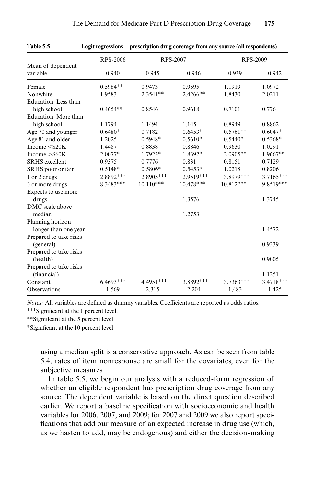|                               | <b>RPS-2006</b> |             | <b>RPS-2007</b> | <b>RPS-2009</b> |           |
|-------------------------------|-----------------|-------------|-----------------|-----------------|-----------|
| Mean of dependent<br>variable | 0.940           | 0.945       | 0.946           | 0.939           | 0.942     |
| Female                        | $0.5984**$      | 0.9473      | 0.9595          | 1.1919          | 1.0972    |
| Nonwhite                      | 1.9583          | $2.3541**$  | $2.4266**$      | 1.8430          | 2.0211    |
| Education: Less than          |                 |             |                 |                 |           |
| high school                   | $0.4654**$      | 0.8546      | 0.9618          | 0.7101          | 0.776     |
| Education: More than          |                 |             |                 |                 |           |
| high school                   | 1.1794          | 1.1494      | 1.145           | 0.8949          | 0.8862    |
| Age 70 and younger            | $0.6480*$       | 0.7182      | $0.6453*$       | $0.5761**$      | $0.6047*$ |
| Age 81 and older              | 1.2025          | $0.5948*$   | $0.5610*$       | $0.5440*$       | $0.5368*$ |
| Income $<$ \$20K              | 1.4487          | 0.8838      | 0.8846          | 0.9630          | 1.0291    |
| Income $>$ \$60K              | 2.0077*         | 1.7923*     | 1.8392*         | 2.0905**        | 1.9667**  |
| <b>SRHS</b> excellent         | 0.9375          | 0.7776      | 0.831           | 0.8151          | 0.7129    |
| SRHS poor or fair             | $0.5148*$       | 0.5806*     | $0.5453*$       | 1.0218          | 0.8206    |
| 1 or 2 drugs                  | 2.8892***       | 2.8905***   | 2.9519***       | 3.8979***       | 3.7165*** |
| 3 or more drugs               | 8.3483***       | $10.110***$ | 10.478***       | 10.812***       | 9.8519*** |
| Expects to use more           |                 |             |                 |                 |           |
| drugs                         |                 |             | 1.3576          |                 | 1.3745    |
| DMC scale above               |                 |             |                 |                 |           |
| median                        |                 |             | 1.2753          |                 |           |
| Planning horizon              |                 |             |                 |                 |           |
| longer than one year          |                 |             |                 |                 | 1.4572    |
| Prepared to take risks        |                 |             |                 |                 |           |
| (general)                     |                 |             |                 |                 | 0.9339    |
| Prepared to take risks        |                 |             |                 |                 |           |
| (health)                      |                 |             |                 |                 | 0.9005    |
| Prepared to take risks        |                 |             |                 |                 |           |
| (financial)                   |                 |             |                 |                 | 1.1251    |
| Constant                      | 6.4693***       | 4.4951***   | 3.8892***       | 3.7363***       | 3.4718*** |
| Observations                  | 1,569           | 2,315       | 2,204           | 1,483           | 1,425     |

**Table 5.5 Logit regressions—prescription drug coverage from any source (all respondents)**

*Notes:* All variables are defined as dummy variables. Coefficients are reported as odds ratios.

∗∗∗Signifi cant at the 1 percent level.

∗∗Signifi cant at the 5 percent level.

∗Signifi cant at the 10 percent level.

using a median split is a conservative approach. As can be seen from table 5.4, rates of item nonresponse are small for the covariates, even for the subjective measures.

In table 5.5, we begin our analysis with a reduced- form regression of whether an eligible respondent has prescription drug coverage from any source. The dependent variable is based on the direct question described earlier. We report a baseline specification with socioeconomic and health variables for 2006, 2007, and 2009; for 2007 and 2009 we also report specifications that add our measure of an expected increase in drug use (which, as we hasten to add, may be endogenous) and either the decision- making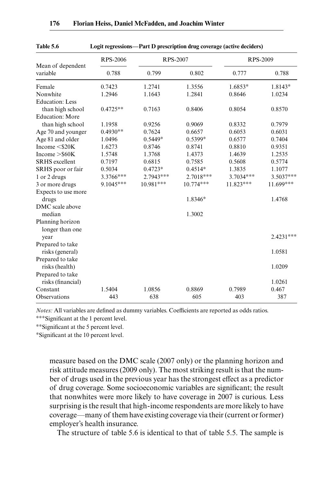| Mean of dependent      | <b>RPS-2006</b> | <b>RPS-2007</b> |             | RPS-2009  |           |
|------------------------|-----------------|-----------------|-------------|-----------|-----------|
| variable               | 0.788           | 0.799           | 0.802       | 0.777     | 0.788     |
| Female                 | 0.7423          | 1.2741          | 1.3556      | $1.6853*$ | 1.8143*   |
| Nonwhite               | 1.2946          | 1.1643          | 1.2841      | 0.8646    | 1.0234    |
| <b>Education: Less</b> |                 |                 |             |           |           |
| than high school       | $0.4725**$      | 0.7163          | 0.8406      | 0.8054    | 0.8570    |
| <b>Education: More</b> |                 |                 |             |           |           |
| than high school       | 1.1958          | 0.9256          | 0.9069      | 0.8332    | 0.7979    |
| Age 70 and younger     | $0.4930**$      | 0.7624          | 0.6657      | 0.6053    | 0.6031    |
| Age 81 and older       | 1.0496          | $0.5449*$       | 0.5399*     | 0.6577    | 0.7404    |
| Income $<$ \$20K       | 1.6273          | 0.8746          | 0.8741      | 0.8810    | 0.9351    |
| Income $>$ \$60K       | 1.5748          | 1.3768          | 1.4373      | 1.4639    | 1.2535    |
| <b>SRHS</b> excellent  | 0.7197          | 0.6815          | 0.7585      | 0.5608    | 0.5774    |
| SRHS poor or fair      | 0.5034          | $0.4723*$       | $0.4514*$   | 1.3835    | 1.1077    |
| 1 or 2 drugs           | 3.3766***       | 2.7943***       | 2.7018***   | 3.7034*** | 3.5037*** |
| 3 or more drugs        | 9.1045***       | 10.981***       | $10.774***$ | 11.823*** | 11.699*** |
| Expects to use more    |                 |                 |             |           |           |
| drugs                  |                 |                 | 1.8346*     |           | 1.4768    |
| DMC scale above        |                 |                 |             |           |           |
| median                 |                 |                 | 1.3002      |           |           |
| Planning horizon       |                 |                 |             |           |           |
| longer than one        |                 |                 |             |           |           |
| year                   |                 |                 |             |           | 2.4231*** |
| Prepared to take       |                 |                 |             |           |           |
| risks (general)        |                 |                 |             |           | 1.0581    |
| Prepared to take       |                 |                 |             |           |           |
| risks (health)         |                 |                 |             |           | 1.0209    |
| Prepared to take       |                 |                 |             |           |           |
| risks (financial)      |                 |                 |             |           | 1.0261    |
| Constant               | 1.5404          | 1.0856          | 0.8869      | 0.7989    | 0.467     |
| Observations           | 443             | 638             | 605         | 403       | 387       |

**Table 5.6 Logit regressions—Part D prescription drug coverage (active deciders)**

*Notes:* All variables are defined as dummy variables. Coefficients are reported as odds ratios.

∗∗∗Signifi cant at the 1 percent level.

∗∗Signifi cant at the 5 percent level.

∗Signifi cant at the 10 percent level.

measure based on the DMC scale (2007 only) or the planning horizon and risk attitude measures (2009 only). The most striking result is that the number of drugs used in the previous year has the strongest effect as a predictor of drug coverage. Some socioeconomic variables are significant; the result that nonwhites were more likely to have coverage in 2007 is curious. Less surprising is the result that high- income respondents are more likely to have coverage—many of them have existing coverage via their (current or former) employer's health insurance.

The structure of table 5.6 is identical to that of table 5.5. The sample is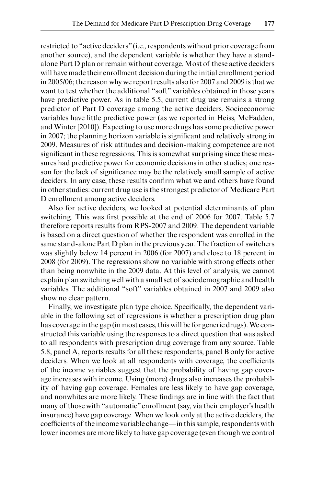restricted to "active deciders" (i.e., respondents without prior coverage from another source), and the dependent variable is whether they have a stand alone Part D plan or remain without coverage. Most of these active deciders will have made their enrollment decision during the initial enrollment period in 2005/06; the reason why we report results also for 2007 and 2009 is that we want to test whether the additional "soft" variables obtained in those years have predictive power. As in table 5.5, current drug use remains a strong predictor of Part D coverage among the active deciders. Socioeconomic variables have little predictive power (as we reported in Heiss, McFadden, and Winter [2010]). Expecting to use more drugs has some predictive power in 2007; the planning horizon variable is significant and relatively strong in 2009. Measures of risk attitudes and decision- making competence are not significant in these regressions. This is somewhat surprising since these measures had predictive power for economic decisions in other studies; one reason for the lack of significance may be the relatively small sample of active deciders. In any case, these results confirm what we and others have found in other studies: current drug use is the strongest predictor of Medicare Part D enrollment among active deciders.

Also for active deciders, we looked at potential determinants of plan switching. This was first possible at the end of 2006 for 2007. Table 5.7 therefore reports results from RPS- 2007 and 2009. The dependent variable is based on a direct question of whether the respondent was enrolled in the same stand- alone Part D plan in the previous year. The fraction of switchers was slightly below 14 percent in 2006 (for 2007) and close to 18 percent in 2008 (for 2009). The regressions show no variable with strong effects other than being nonwhite in the 2009 data. At this level of analysis, we cannot explain plan switching well with a small set of sociodemographic and health variables. The additional "soft" variables obtained in 2007 and 2009 also show no clear pattern.

Finally, we investigate plan type choice. Specifically, the dependent variable in the following set of regressions is whether a prescription drug plan has coverage in the gap (in most cases, this will be for generic drugs). We constructed this variable using the responses to a direct question that was asked to all respondents with prescription drug coverage from any source. Table 5.8, panel A, reports results for all these respondents, panel B only for active deciders. When we look at all respondents with coverage, the coefficients of the income variables suggest that the probability of having gap coverage increases with income. Using (more) drugs also increases the probability of having gap coverage. Females are less likely to have gap coverage, and nonwhites are more likely. These findings are in line with the fact that many of those with "automatic" enrollment (say, via their employer's health insurance) have gap coverage. When we look only at the active deciders, the coefficients of the income variable change—in this sample, respondents with lower incomes are more likely to have gap coverage (even though we control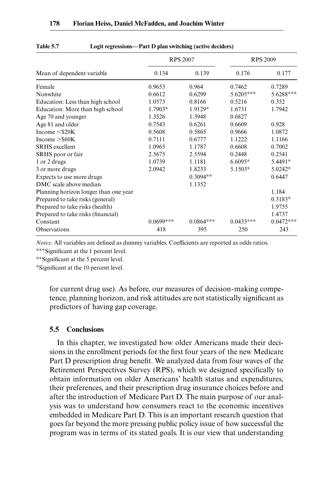|                                       |             | <b>RPS 2007</b> |             | <b>RPS 2009</b> |
|---------------------------------------|-------------|-----------------|-------------|-----------------|
| Mean of dependent variable            | 0.134       | 0.139           | 0.176       | 0.177           |
| Female                                | 0.9653      | 0.964           | 0.7462      | 0.7289          |
| Nonwhite                              | 0.6612      | 0.6299          | 5.6205***   | 5.6288***       |
| Education: Less than high school      | 1.0573      | 0.8166          | 0.5216      | 0.352           |
| Education: More than high school      | 1.7903*     | $1.9129*$       | 1.6731      | 1.7942          |
| Age 70 and younger                    | 1.3526      | 1.3948          | 0.6827      |                 |
| Age 81 and older                      | 0.7543      | 0.6261          | 0.6609      | 0.928           |
| Income $<$ \$20 $K$                   | 0.5608      | 0.5865          | 0.9666      | 1.0872          |
| Income $>$ \$60K                      | 0.7111      | 0.6777          | 1.1222      | 1.1166          |
| SRHS excellent                        | 1.0965      | 1.1787          | 0.6608      | 0.7002          |
| SRHS poor or fair                     | 2.5675      | 2.5594          | 0.2448      | 0.2541          |
| 1 or 2 drugs                          | 1.0739      | 1.1181          | $6.6095*$   | $5.4491*$       |
| 3 or more drugs                       | 2.0942      | 1.8233          | 5.1503*     | $5.0242*$       |
| Expects to use more drugs             |             | $0.3094**$      |             | 0.6447          |
| DMC scale above median                |             | 1.1352          |             |                 |
| Planning horizon longer than one year |             |                 |             | 1.184           |
| Prepared to take risks (general)      |             |                 |             | $0.3183*$       |
| Prepared to take risks (health)       |             |                 |             | 1.9755          |
| Prepared to take risks (financial)    |             |                 |             | 1.4737          |
| Constant                              | $0.0699***$ | $0.0864***$     | $0.0433***$ | $0.0472***$     |
| <b>Observations</b>                   | 418         | 395             | 250         | 243             |

#### **178 Florian Heiss, Daniel McFadden, and Joachim Winter**

**Table 5.7 Logit regressions—Part D plan switching (active deciders)**

*Notes:* All variables are defined as dummy variables. Coefficients are reported as odds ratios.

∗∗∗Signifi cant at the 1 percent level.

∗∗Signifi cant at the 5 percent level.

∗Signifi cant at the 10 percent level.

for current drug use). As before, our measures of decision- making competence, planning horizon, and risk attitudes are not statistically significant as predictors of having gap coverage.

## **5.5 Conclusions**

In this chapter, we investigated how older Americans made their decisions in the enrollment periods for the first four years of the new Medicare Part D prescription drug benefit. We analyzed data from four waves of the Retirement Perspectives Survey (RPS), which we designed specifically to obtain information on older Americans' health status and expenditures, their preferences, and their prescription drug insurance choices before and after the introduction of Medicare Part D. The main purpose of our analysis was to understand how consumers react to the economic incentives embedded in Medicare Part D. This is an important research question that goes far beyond the more pressing public policy issue of how successful the program was in terms of its stated goals. It is our view that understanding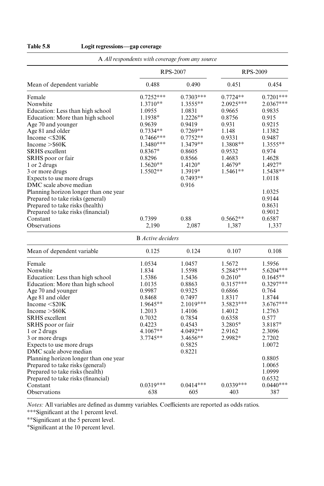## **Table 5.8 Logit regressions—gap coverage**

| A Au respondents with coverage from any source |                                 |                 |             |                 |
|------------------------------------------------|---------------------------------|-----------------|-------------|-----------------|
|                                                |                                 | <b>RPS-2007</b> |             | <b>RPS-2009</b> |
| Mean of dependent variable                     | 0.488                           | 0.490           | 0.451       | 0.454           |
| Female                                         | $0.7252***$                     | $0.7303***$     | $0.7724**$  | $0.7201***$     |
| Nonwhite                                       | $1.3710**$                      | $1.3555**$      | 2.0925***   | 2.0367***       |
| Education: Less than high school               | 1.0955                          | 1.0831          | 0.9665      | 0.9835          |
| Education: More than high school               | $1.1938*$                       | $1.2226**$      | 0.8756      | 0.915           |
| Age 70 and younger                             | 0.9639                          | 0.9419          | 0.931       | 0.9215          |
| Age 81 and older                               | $0.7334**$                      | $0.7269**$      | 1.148       | 1.1382          |
| Income $<$ \$20 $K$                            | $0.7466***$                     | $0.7752**$      | 0.9331      | 0.9487          |
| Income $>$ \$60K                               | $1.3480***$                     | $1.3479**$      | 1.3808**    | 1.3555**        |
| <b>SRHS</b> excellent                          | $0.8367*$                       | 0.8605          | 0.9532      | 0.974           |
| SRHS poor or fair                              | 0.8296                          | 0.8566          | 1.4683      | 1.4628          |
| 1 or 2 drugs                                   | $1.5620**$                      | $1.4120*$       | 1.4679*     | 1.4927*         |
| 3 or more drugs                                | $1.5502**$                      | 1.3919*         | 1.5461**    | 1.5438**        |
| Expects to use more drugs                      |                                 | $0.7493**$      |             | 1.0118          |
| DMC scale above median                         |                                 | 0.916           |             |                 |
| Planning horizon longer than one year          |                                 |                 |             | 1.0325          |
| Prepared to take risks (general)               |                                 |                 |             | 0.9144          |
| Prepared to take risks (health)                |                                 |                 |             | 0.8631          |
| Prepared to take risks (financial)             |                                 |                 |             | 0.9012          |
| Constant                                       | 0.7399                          | 0.88            | $0.5662**$  | 0.6587          |
| Observations                                   | 2.190                           | 2.087           | 1,387       | 1,337           |
|                                                | <b>B</b> <i>Active deciders</i> |                 |             |                 |
| Mean of dependent variable                     | 0.125                           | 0.124           | 0.107       | 0.108           |
| Female                                         | 1.0534                          | 1.0457          | 1.5672      | 1.5956          |
| Nonwhite                                       | 1.834                           | 1.5598          | 5.2845***   | 5.6204***       |
| Education: Less than high school               | 1.5386                          | 1.5436          | $0.2610*$   | $0.1645**$      |
| Education: More than high school               | 1.0135                          | 0.8863          | $0.3157***$ | 0.3297***       |
| Age 70 and younger                             | 0.9987                          | 0.9325          | 0.6866      | 0.764           |
| Age 81 and older                               | 0.8468                          | 0.7497          | 1.8317      | 1.8744          |
| Income $<$ \$20 $K$                            | $1.9645**$                      | 2.1019***       | 3.5823***   | 3.6767***       |
| Income $>$ \$60K                               | 1.2013                          | 1.4106          | 1.4012      | 1.2763          |
| <b>SRHS</b> excellent                          | 0.7032                          | 0.7854          | 0.6358      | 0.577           |
| SRHS poor or fair                              | 0.4223                          | 0.4543          | 3.2805*     | 3.8187*         |
| 1 or 2 drugs                                   | 4.1067**                        | 4.0492**        | 2.9162      | 2.3096          |
| 3 or more drugs                                | $3.7745**$                      | $3.4656**$      | 2.9982*     | 2.7202          |
| Expects to use more drugs                      |                                 | 0.5825          |             | 1.0072          |
| DMC scale above median                         |                                 | 0.8221          |             |                 |
| Planning horizon longer than one year          |                                 |                 |             | 0.8805          |
| Prepared to take risks (general)               |                                 |                 |             | 1.0065          |
| Prepared to take risks (health)                |                                 |                 |             | 1.0999          |
| Prepared to take risks (financial)             |                                 |                 |             | 0.6532          |
| Constant                                       | $0.0319***$                     | $0.0414***$     | 0.0339***   | $0.0440***$     |
| Observations                                   | 638                             | 605             | 403         | 387             |

A *All respondents with coverage from any source*

*Notes:* All variables are defined as dummy variables. Coefficients are reported as odds ratios.

∗∗∗Signifi cant at the 1 percent level.

∗∗Signifi cant at the 5 percent level.

∗Signifi cant at the 10 percent level.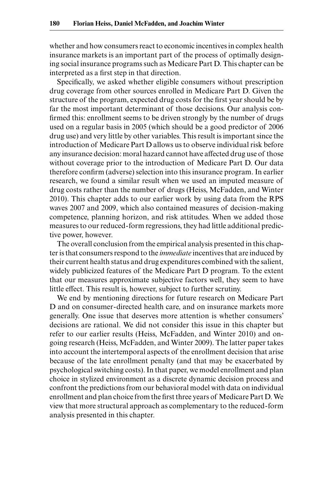whether and how consumers react to economic incentives in complex health insurance markets is an important part of the process of optimally designing social insurance programs such as Medicare Part D. This chapter can be interpreted as a first step in that direction.

Specifically, we asked whether eligible consumers without prescription drug coverage from other sources enrolled in Medicare Part D. Given the structure of the program, expected drug costs for the first year should be by far the most important determinant of those decisions. Our analysis confirmed this: enrollment seems to be driven strongly by the number of drugs used on a regular basis in 2005 (which should be a good predictor of 2006 drug use) and very little by other variables. This result is important since the introduction of Medicare Part D allows us to observe individual risk before any insurance decision: moral hazard cannot have affected drug use of those without coverage prior to the introduction of Medicare Part D. Our data therefore confirm (adverse) selection into this insurance program. In earlier research, we found a similar result when we used an imputed measure of drug costs rather than the number of drugs (Heiss, McFadden, and Winter 2010). This chapter adds to our earlier work by using data from the RPS waves 2007 and 2009, which also contained measures of decision- making competence, planning horizon, and risk attitudes. When we added those measures to our reduced- form regressions, they had little additional predictive power, however.

The overall conclusion from the empirical analysis presented in this chapter is that consumers respond to the *immediate* incentives that are induced by their current health status and drug expenditures combined with the salient, widely publicized features of the Medicare Part D program. To the extent that our measures approximate subjective factors well, they seem to have little effect. This result is, however, subject to further scrutiny.

We end by mentioning directions for future research on Medicare Part D and on consumer- directed health care, and on insurance markets more generally. One issue that deserves more attention is whether consumers' decisions are rational. We did not consider this issue in this chapter but refer to our earlier results (Heiss, McFadden, and Winter 2010) and ongoing research (Heiss, McFadden, and Winter 2009). The latter paper takes into account the intertemporal aspects of the enrollment decision that arise because of the late enrollment penalty (and that may be exacerbated by psychological switching costs). In that paper, we model enrollment and plan choice in stylized environment as a discrete dynamic decision process and confront the predictions from our behavioral model with data on individual enrollment and plan choice from the first three years of Medicare Part D. We view that more structural approach as complementary to the reduced- form analysis presented in this chapter.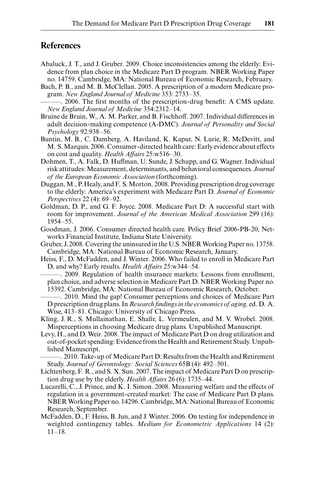# **References**

- Abaluck, J. T., and J. Gruber. 2009. Choice inconsistencies among the elderly: Evidence from plan choice in the Medicare Part D program. NBER Working Paper no. 14759. Cambridge, MA: National Bureau of Economic Research, February.
- Bach, P. B., and M. B. McClellan. 2005. A prescription of a modern Medicare program. *New England Journal of Medicine* 353: 2733–35.
- -. 2006. The first months of the prescription-drug benefit: A CMS update. *New England Journal of Medicine* 354:2312–14.
- Bruine de Bruin, W., A. M. Parker, and B. Fischhoff. 2007. Individual differences in adult decision- making competence (A- DMC). *Journal of Personality and Social Psychology* 92:938–56.
- Buntin, M. B., C. Damberg, A. Haviland, K. Kapur, N. Lurie, R. McDevitt, and M. S. Marquis. 2006. Consumer- directed health care: Early evidence about effects on cost and quality. *Health Affairs* 25:w516–30.
- Dohmen, T., A. Falk, D. Huffman, U. Sunde, J. Schupp, and G. Wagner. Individual risk attitudes: Measurement, determinants, and behavioral consequences. *Journal of the European Economic Association* (forthcoming).
- Duggan, M., P. Healy, and F. S. Morton. 2008. Providing prescription drug coverage to the elderly: America's experiment with Medicare Part D. *Journal of Economic Perspectives* 22 (4): 69–92.
- Goldman, D. P., and G. F. Joyce. 2008. Medicare Part D: A successful start with room for improvement. *Journal of the American Medical Association* 299 (16): 1954–55.
- Goodman, J. 2006. Consumer directed health care. Policy Brief 2006-PB-20, Networks Financial Institute, Indiana State University.
- Gruber, J. 2008. Covering the uninsured in the U.S. NBER Working Paper no. 13758. Cambridge, MA: National Bureau of Economic Research, January.
- Heiss, F., D. McFadden, and J. Winter. 2006. Who failed to enroll in Medicare Part D, and why? Early results. *Health Affairs* 25:w344–54.
	- -. 2009. Regulation of health insurance markets: Lessons from enrollment, plan choice, and adverse selection in Medicare Part D. NBER Working Paper no.
	- 15392. Cambridge, MA: National Bureau of Economic Research, October.
	- ———. 2010. Mind the gap! Consumer perceptions and choices of Medicare Part D prescription drug plans. In *Research findings in the economics of aging*, ed. D. A. Wise, 413–81. Chicago: University of Chicago Press.
- Kling, J. R., S. Mullainathan, E. Shafir, L. Vermeulen, and M. V. Wrobel. 2008. Misperceptions in choosing Medicare drug plans. Unpublished Manuscript.
- Levy, H., and D. Weir. 2008. The impact of Medicare Part D on drug utilization and out-of-pocket spending: Evidence from the Health and Retirement Study. Unpublished Manuscript.
- ———. 2010. Take- up of Medicare Part D: Results from the Health and Retirement Study. *Journal of Gerontology: Social Sciences* 65B (4): 492–501.
- Lichtenberg, F. R., and S. X. Sun. 2007. The impact of Medicare Part D on prescription drug use by the elderly. *Health Affairs* 26 (6): 1735–44.
- Lucarelli, C., J. Prince, and K. I. Simon. 2008. Measuring welfare and the effects of regulation in a government- created market: The case of Medicare Part D plans. NBER Working Paper no. 14296. Cambridge, MA: National Bureau of Economic Research, September.
- McFadden, D., F. Heiss, B. Jun, and J. Winter. 2006. On testing for independence in weighted contingency tables. *Medium for Econometric Applications* 14 (2):  $11 - 18$ .